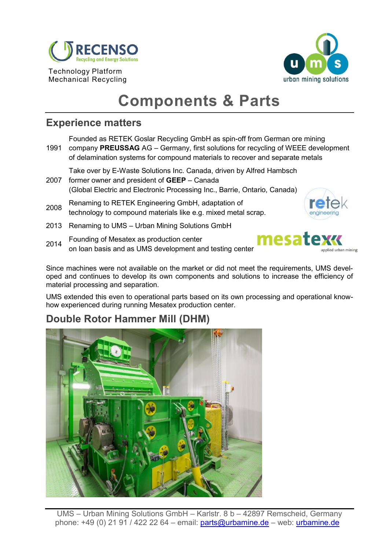

Mechanical Recycling



# **Components & Parts**

#### **Experience matters**

Founded as RETEK Goslar Recycling GmbH as spin-off from German ore mining

- 1991 company **PREUSSAG** AG Germany, first solutions for recycling of WEEE development of delamination systems for compound materials to recover and separate metals
- 2007 former owner and president of **GEEP** Canada Take over by E-Waste Solutions Inc. Canada, driven by Alfred Hambsch (Global Electric and Electronic Processing Inc., Barrie, Ontario, Canada)
- <sup>2008</sup> Renaming to RETEK Engineering GmbH, adaptation of technology to compound materials like e.g. mixed metal scrap.
- 

- 2013 Renaming to UMS Urban Mining Solutions GmbH
- <sup>2014</sup> Founding of Mesatex as production center on loan basis and as UMS development and testing center



Since machines were not available on the market or did not meet the requirements, UMS developed and continues to develop its own components and solutions to increase the efficiency of material processing and separation.

UMS extended this even to operational parts based on its own processing and operational knowhow experienced during running Mesatex production center.

## **Double Rotor Hammer Mill (DHM)**